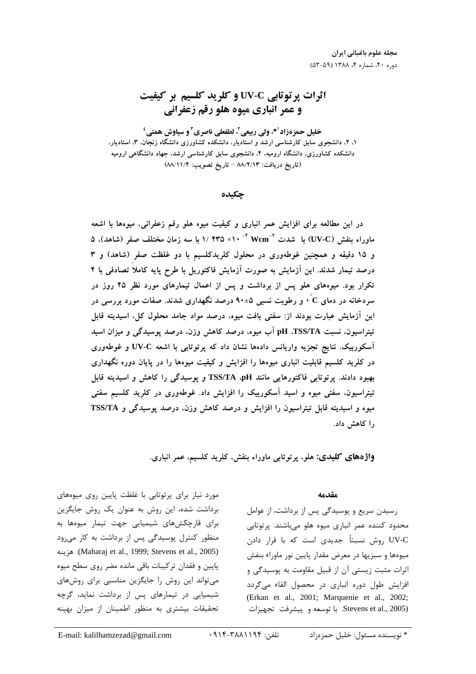# اثرات پرتوتاہی UV-C و کلرید کلسیم پر کیفیت **و عمر انباري ميوه هلو رقم زعفراني**

خلیل حمزهزاد<sup>۱ \*</sup>، ولی ربیعی<sup>7</sup>، لطفعلی ناصری<sup>۳</sup>و سیاوش همتی<sup>٤</sup> ۱، ۲، دانشجوی سابق کارشناسی ارشد و استادیار، دانشکده کشاورزی دانشگاه زنجان، ۳، استادیار، دانشکده کشاورزی، دانشگاه ارومیه، ۴، دانشجوی سابق کارشناسی ارشد، جهاد دانشگاهی ارومیه (تاريخ دريافت: ٨٨/٢/١٣ - تاريخ تصويب: ٨٨/١١/٤)

چکىدە

در این مطالعه برای افزایش عمر انباری و کیفیت میوه هلو رقم زعفرانی، میوهها با اشعه ماوراء بنفش (UV-C) با شدت N (\* \* \* \* \* \* \* \* \* \* \* \* \* \* \* با سه زمان مختلف صفر (شاهد)، ۵ و ۱۵ دقیقه و همچنین غوطهوری در محلول کلریدکلسیم با دو غلظت صفر (شاهد) و ۳ درصد تیمار شدند. این آزمایش به صورت آزمایش فاکتوریل با طرح پایه کاملا تصادفی با ۴ تکرار بود. میوههای هلو پس از برداشت و پس از اعمال تیمارهای مورد نظر ۴۵ روز در سردخانه در دمای c ٌ و رطوبت نسبی ۵+۹۰ درصد نگهداری شدند. صفات مورد بررسی در این آزمایش عبارت بودند از: سفتی بافت میوه، درصد مواد جامد محلول کل، اسیدیته قابل تيتراسيون، نسبت pH ،TSS/TA آب ميوه، درصد كاهش وزن، درصد يوسيدگي و ميزان اسيد آسکوربیک. نتایج تجزیه واریانس دادهها نشان داد که پرتوتابی با اشعه UV-C و غوطهوری در کلرید کلسیم قابلیت انباری میوهها را افزایش و کیفیت میوهها را در پایان دوره نگهداری بهبود دادند. پرتوتابی فاکتورهایی مانند TSS/TA ،pH و پوسیدگی را کاهش و اسیدیته قابل تیتراسیون، سفتی میوه و اسید آسکوربیک را افزایش داد. غوطهوری در کلرید کلسیم سفتی میوه و اسیدیته قابل تیتراسیون را افزایش و درصد کاهش وزن، درصد یوسیدگی و TSS/TA را كاهش داد.

واژههای کلیدی: هلو، پر توتابی ماوراء بنفش، کلرید کلسیم، عمر انباری.

مورد نیاز برای پرتوتابی با غلظت پایین روی میوههای برداشت شده، این روش به عنوان یک روش جایگزین برای قارچکشهای شیمیایی جهت تیمار میوهها به منظور کنترل پوسیدگی پس از برداشت به کار می رود هزينه.(Maharaj et al., 1999; Stevens et al., 2005). پایین و فقدان ترکیبات باقی مانده مضر روی سطح میوه می تواند این روش را جایگزین مناسبی برای روشهای شیمیایی در تیمارهای پس از برداشت نماید، گرچه تحقیقات بیشتری به منظور اطمینان از میزان بهینه

### مقدمه

رسیدن سریع و پوسیدگی پس از برداشت، از عوامل محدود کننده عمر انباری میوه هلو میباشند. پرتوتابی UV-C ,وش نسبتاً جدیدی است که با قرار دادن میوهها و سبزیها در معرض مقدار پایین نور ماوراء بنفش اثرات مثبت زیستی آن از قبیل مقاومت به پوسیدگی و افزایش طول دوره انباری در محصول القاء می گردد (Erkan et al., 2001; Marquenie et al., 2002; Stevens et al., 2005). با توسعه و پیشرفت تجهیزات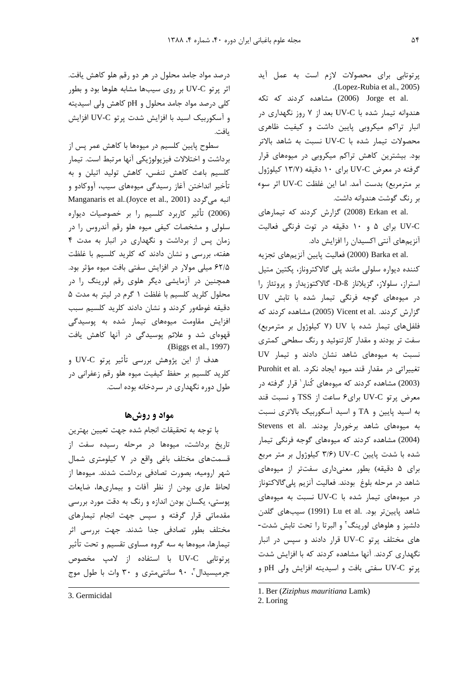پرتوتابی برای محصولات لازم است به عمل آید .(Lopez-Rubia et al., 2005)

.2006) Jorge et al مشاهده کردند که تکه هندوانه تیمار شده با UV-C بعد از ۷ روز نگهداری در انبار تراکم میکروبی پایین داشت و کیفیت ظاهری محصولات تيمار شده با UV-C نسبت به شاهد بالاتر بود. بیشترین کاهش تراکم میکروبی در میوههای قرار گرفته در معرض UV-C برای ۱۰ دقیقه (۱۳/۷ کیلوژول بر مترمربع) بدست آمد. اما این غلظت UV-C اثر سوء بر رنگ گوشت هندوانه داشت.

.2008) Erkan et al (2008) گزارش کردند که تیمارهای UV-C برای ۵ و ۱۰ دقیقه در توت فرنگی فعالیت آنزیمهای آنتی اکسیدان را افزایش داد.

.Barka et al (2000) فعاليت پايين آنزيمهاي تجزيه كننده ديواره سلولى مانند پلى گالاكتروناز، پكتين متيل استراز، سلولاز، گزیلاناز D-B- گالاكتوزیداز و پروتئاز را در میوههای گوجه فرنگی تیمار شده با تابش UV گزارش کردند. .Vicent et al (2005) مشاهده کردند که فلفل های تیمار شده با UV (۷ کیلوژول بر مترمربع) سفت تر بودند و مقدار کارتنوئید و رنگ سطحی کمتری نسبت به میوههای شاهد نشان دادند و تیمار UV تغییراتی در مقدار قند میوه ایجاد نکرد. .Purohit et al (2003) مشاهده کردند که میوههای کُنار ٔ قرار گرفته در معرض پرتو UV-C برای ۶ ساعت از TSS و نسبت قند به اسید پایین و TA و اسید آسکوربیک بالاتری نسبت به میوههای شاهد برخوردار بودند. Stevens et al. (2004) مشاهده کردند که میوههای گوجه فرنگی تیمار شده با شدت پایین UV-C (۳/۶ کیلوژول بر متر مربع برای ۵ دقیقه) بطور معنیداری سفتتر از میوههای شاهد در مرحله بلوغ بودند. فعالیت آنزیم پلی گالاکتوناز در میوههای تیمار شده با UV-C نسبت به میوههای شاهد پايينتر بود. .Lu et al (1991) سيبهاى گلدن دلشیز و هلوهای لورینگ<sup>۲</sup> و البرتا را تحت تابش شدت-های مختلف پرتو UV-C قرار دادند و سیس در انبار نگهداری کردند. آنها مشاهده کردند که با افزایش شدت پرتو UV-C سفتی بافت و اسیدیته افزایش ولی pH و

2. Loring

درصد مواد جامد محلول در هر دو رقم هلو کاهش یافت. اثر پرتو UV-C بر روی سیبها مشابه هلوها بود و بطور کلی درصد مواد جامد محلول و pH کاهش ولی اسیدیته و آسکوربیک اسید با افزایش شدت پرتو UV-C افزایش ىافت.

سطوح پایین کلسیم در میوهها با کاهش عمر پس از برداشت و اختلالات فيزيولوژيكي آنها مرتبط است. تيمار کلسیم باعث کاهش تنفس، کاهش تولید اتیلن و به تأخير انداختن آغاز رسيدگي ميوههاي سيب، آووكادو و Manganaris et al. (Joyce et al., 2001) انبه می گردد (2006) تأثير كاربرد كلسيم را بر خصوصيات ديواره سلولی و مشخصات کیفی میوه هلو رقم آندروس را در زمان پس از برداشت و نگهداری در انبار به مدت ۴ هفته، بررسی و نشان دادند که کلرید کلسیم با غلظت ۶۲/۵ میلی مولار در افزایش سفتی بافت میوه مؤثر بود. همچنین در آزمایشی دیگر هلوی رقم لورینگ را در محلول كلريد كلسيم با غلظت ١ گرم در ليتر به مدت ۵ دقیقه غوطهور کردند و نشان دادند کلرید کلسیم سبب افزایش مقاومت میوههای تیمار شده به پوسیدگی قهوهای شد و علائم پوسیدگی در آنها کاهش یافت (Biggs et al., 1997).

هدف از این پژوهش بررسی تأثیر پرتو UV-C و كلريد كلسيم بر حفظ كيفيت ميوه هلو رقم زعفراني در طول دوره نگهداری در سردخانه بوده است.

## مواد و روشها

با توجه به تحقيقات انجام شده جهت تعيين بهترين تاریخ برداشت، میوهها در مرحله رسیده سفت از قسمتهای مختلف باغی واقع در ۷ کیلومتری شمال شهر ارومیه، بصورت تصادفی برداشت شدند. میوهها از لحاظ عاري بودن از نظر آفات و بيماري ها، ضايعات پوستی، یکسان بودن اندازه و رنگ به دقت مورد بررسی مقدماتی قرار گرفته و سپس جهت انجام تیمارهای مختلف بطور تصادفی جدا شدند. جهت بررسی اثر تیمارها، میوهها به سه گروه مساوی تقسیم و تحت تأثیر يرتوتابي UV-C با استفاده از لامپ مخصوص جرميسيدال "، ٩٠ سانتي مترى و ٣٠ وات با طول موج

<sup>1.</sup> Ber (Ziziphus mauritiana Lamk)

<sup>3.</sup> Germicidal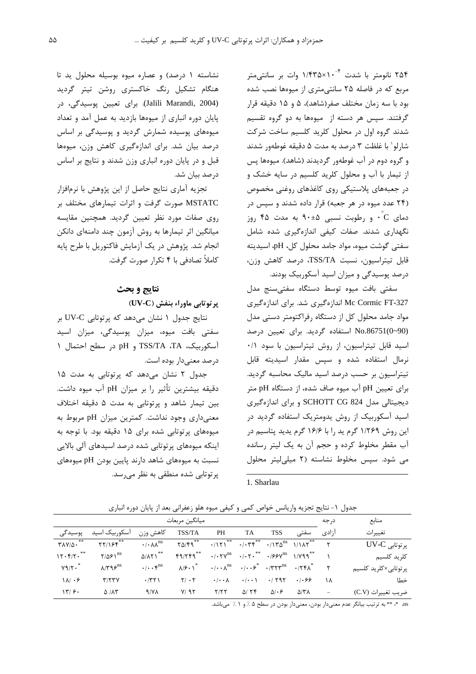۲۵۴ نانومتر با شدت ۱/۴۳۵×۱/۴۳۵ وات بر سانتی،متر مربع که در فاصله ۲۵ سانتی متری از میوهها نصب شده بود با سه زمان مختلف صفر(شاهد)، ۵ و ۱۵ دقیقه قرار گرفتند. سپس هر دسته از هیوهها به دو گروه تقسیم شدند گروه اول در محلول کلرید کلسیم ساخت شرکت شارلو` با غلظت ۳ درصد به مدت ۵ دقیقه غوطهور شدند و گروه دوم در آب غوطهور گردیدند (شاهد). میوهها پس از تیمار با آب و محلول کلرید کلسیم در سایه خشک و در جعبههای پلاستیکی روی کاغذهای روغنی مخصوص (۲۴ عدد میوه در هر جعبه) قرار داده شدند و سپس در دمای  $\circ$ ۰ و رطوبت نسبی ۵±۹۰ به مدت ۴۵ روز نگهداری شدند. صفات کیفی اندازهگیری شده شامل سفتی گوشت میوه، مواد جامد محلول کل، pH، اسیدیته قابل تيتراسيون، نسبت TSS/TA، درصد كاهش وزن، درصد پوسیدگی و میزان اسید آسکوربیک بودند.

سفتی بافت میوه توسط دستگاه سفتی سنج مدل Mc Cormic FT-327 اندازهگیری شد. برای اندازهگیری مواد جامد محلول کل از دستگاه رفراکتومتر دستی مدل No.86751(0~90) استفاده گردید. برای تعیین درصد اسید قابل تیتراسیون، از روش تیتراسیون با سود ۰/۱ نرمال استفاده شده و سیس مقدار اسیدیته قابل تیتراسیون بر حسب درصد اسید مالیک محاسبه گردید. برای تعیین pH آب میوه صاف شده، از دستگاه pH متر دیجیتالی مدل SCHOTT CG 824 و برای اندازهگیری اسید آسکوربیک از روش پدومتریک استفاده گردید در این روش ۱/۲۶۹ گرم ید را با ۱۶/۶ گرم یدید پتاسیم در آب مقطر مخلوط کرده و حجم آن به یک لیتر رسانده می شود. سیس مخلوط نشاسته (۲ میلی لیتر محلول

جدول ١- نتايج تجزيه واريانس خواص كمي و كيفي ميوه هلو زعفراني بعد از پايان دوره انباري

| ميانگين مربعات        |                                          |                                          |                                                    |                            |                                                                                                                                          |                       |                       | د, جه        | منابع                |
|-----------------------|------------------------------------------|------------------------------------------|----------------------------------------------------|----------------------------|------------------------------------------------------------------------------------------------------------------------------------------|-----------------------|-----------------------|--------------|----------------------|
| پوسیدگی               | آسکوربیک اسید                            | كاهش وزن                                 | TSS/TA                                             | PH                         | <b>TA</b>                                                                                                                                | <b>TSS</b>            | سفتے                  | آزادى        | تغييرات              |
| $T\Lambda V/\Delta$ . | YY/155                                   | $\cdot/\cdot \lambda \lambda^{ns}$       | $Y\Delta/Fq^{**}$                                  |                            | $\cdot$ /171 <sup>**</sup> $\cdot$ / $\cdot$ $\tau$ $\tau$ <sup>*</sup> $\cdot$ /17 $\Delta$ <sup>ns</sup> 1/1 $\Lambda$ 7 <sup>**</sup> |                       |                       | $\mathsf{r}$ | پرتوتابی UV-C        |
| $17.5/7.$ **          | $Y/\Delta \xi$ <sup>ns</sup>             | $\Delta/\Lambda \Upsilon1$ <sup>**</sup> | $f9/7f9$ **                                        |                            | $\cdot$ /· $\gamma V^{ns}$ ·/· $\gamma \cdot$ <sup>**</sup> ·/ $\gamma \gamma^{ns}$ // $\gamma q q^{**}$                                 |                       |                       |              | كلريد كلسيم          |
| $Y9/Y \cdot$ *        | $\lambda/\tau$ 9 $\varphi$ <sup>ns</sup> | $\cdot/\cdot\cdot\mathbf{y}^{\text{ns}}$ | $\lambda$ / $\beta$ $\cdot$ $\lambda$ <sup>*</sup> |                            | $\cdot/\cdot\cdot\Lambda^{ns}$ $\cdot/\cdot\cdot\varphi^{*}$ $\cdot/\tau\tau\tau^{ns}$ $\cdot/\tau\tau\Lambda^{*}$                       |                       |                       | ۲            | پرتوتابی×کلرید کلسیم |
| $\lambda / \cdot 5$   | Y/YYY                                    | $\cdot$ $ \mathcal{r}\mathcal{r}\rangle$ | $Y / \cdot Y$                                      | $\cdot$ / $\cdot$ $\wedge$ |                                                                                                                                          | .795                  | .1.89                 | ۱۸           | خطا                  |
| 177.9                 | $\Delta / \Lambda \Upsilon$              | $4/\gamma\lambda$                        | Y/95                                               | Y/YY                       | $\Delta$ / $\Upsilon$                                                                                                                    | $\Delta$ . $\epsilon$ | $\Delta$ /۳ $\Lambda$ | -            | ضریب تغییرات (C.V)   |

as \*، \*\* به ترتیب بیانگر عدم معنیدار بودن، معنیدار بودن در سطح ۵٪ و ۱٪ می باشد.

نشاسته ١ درصد) و عصاره ميوه بوسيله محلول يد تا هنگام تشکیل رنگ خاکستری روشن تیتر گردید (Jalili Marandi, 2004). برای تعیین یوسیدگی، در پایان دوره انباری از میوهها بازدید به عمل آمد و تعداد میوههای پوسیده شمارش گردید و پوسیدگی بر اساس درصد بیان شد. برای اندازهگیری کاهش وزن، میوهها قبل و در پایان دوره انباری وزن شدند و نتایج بر اساس در صد بیان شد.

تجزيه آماري نتايج حاصل از اين پژوهش با نرمافزار MSTATC صورت گرفت و اثرات تیمارهای مختلف بر روى صفات مورد نظر تعيين كرديد. همچنين مقايسه میانگین اثر تیمارها به روش آزمون چند دامنهای دانکن انجام شد. پژوهش در یک آزمایش فاکتوریل با طرح پایه كاملاً تصادفي با ۴ تكرار صورت گرفت.

### نتايج و بحث

پر توتابي ماوراء بنفش (UV-C)

نتايج جدول ١ نشان مى دهد كه پرتوتابى UV-C بر سفتی بافت میوه، میزان پوسیدگی، میزان اسید آسکوربیک، TSS/TA ،TA و pH در سطح احتمال ۱ درصد معنىدار بوده است.

جدول ۲ نشان می دهد که پرتوتابی به مدت ۱۵ دقیقه بیشترین تأثیر را بر میزان pH آب میوه داشت. بين تيمار شاهد و يرتوتابي به مدت ۵ دقيقه اختلاف معنیداری وجود نداشت. کمترین میزان pH مربوط به میوههای پرتوتابی شده برای ۱۵ دقیقه بود. با توجه به اینکه میوههای پرتوتابی شده درصد اسیدهای آلی بالایی نسبت به میوههای شاهد دارند پایین بودن pH میوههای پرتوتابی شده منطقی به نظر میرسد.

<sup>1.</sup> Sharlau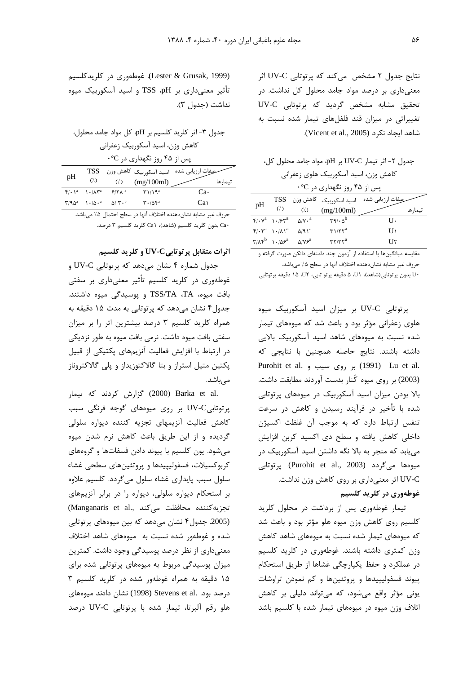نتايج جدول ٢ مشخص مي كند كه پرتوتابي UV-C اثر معنیداری بر درصد مواد جامد محلول کل نداشت. در تحقیق مشابه مشخص گردید که پرتوتابی UV-C تغییراتی در میزان قند فلفلهای تیمار شده نسبت به شاهد ایجاد نکرد (Vicent et al., 2005).

جدول ٢- اثر تيمار UV-C بر pH، مواد جامد محلول كل، کاهش وزن، اسید آسکوربیک هلوی زعفرانی  $\cdot^{\circ}$ C د د ، نگرداری د .  $^{\circ}$ 

| pH |                                                                                                    |                                                                                                                                   |                                                          | حِفِظَتِ ارزیابی شده پاسید اسکوربیک کاهش وزن TSS |          |
|----|----------------------------------------------------------------------------------------------------|-----------------------------------------------------------------------------------------------------------------------------------|----------------------------------------------------------|--------------------------------------------------|----------|
|    | (                                                                                                  | $\left(\frac{7}{2}\right)$                                                                                                        | (mg/100ml)                                               |                                                  | تىما، ھا |
|    |                                                                                                    | $\mathbf{y} \cdot \mathbf{y}^{\text{a}}$ $\mathbf{y} \cdot \mathbf{y}^{\text{a}}$ $\Delta \mathbf{y} \cdot \mathbf{y}^{\text{a}}$ | $\Upsilon \mathfrak{A}/\cdot \Delta^b$                   | II.                                              |          |
|    |                                                                                                    | $f/\cdot r^a$ ) $(\Lambda)^a$ $\Delta$ /9) <sup>2</sup>                                                                           | $\mathbf{r}$ $\mathbf{r}$                                | U١                                               |          |
|    | $\mathbf{Y}/\mathbf{A}\mathbf{F}^{\mathrm{b}}$ $\mathbf{1}\cdot/\mathbf{A}\mathbf{F}^{\mathrm{a}}$ | $\Delta$ /y $\epsilon^{\rm a}$                                                                                                    | $\mathbf{r}\mathbf{r}/\mathbf{r}\mathbf{r}^{\mathrm{a}}$ | I I∀                                             |          |

مقایسه میانگینها با استفاده از آزمون چند دامنهای دانکن صورت گرفته و حروف غير مشابه نشان دهنده اختلاف آنها در سطح ۰٪ مىباشد.

∙U بدون پرتوتابی(شاهد)، (U، ۵ دقیقه پرتو تابی، U۲، ۱۵ دقیقه پرتوتابی

پرتوتابی UV-C بر میزان اسید آسکوربیک میوه هلوی زعفرانی مؤثر بود و باعث شد که میوههای تیمار شده نسبت به میوههای شاهد اسید آسکوربیک بالایی داشته باشند. نتایج حاصله همچنین با نتایجی که Purohit et al. وی سیب و Purohit et al. (2003) بر روی میوه کُنار بدست آوردند مطابقت داشت. بالا بودن میزان اسید آسکوربیک در میوههای پرتوتابی شده با تأخیر در فرآیند رسیدن و کاهش در سرعت تنفس ارتباط دارد که به موجب آن غلظت اکسیژن داخلی کاهش یافته و سطح دی اکسید کربن افزایش می یابد که منجر به بالا نگه داشتن اسید آسکوربیک در ميوهها ميگردد (Purohit et al., 2003). پرتوتابي UV-C اثر معنیداری بر روی کاهش وزن نداشت.

## غوطەورى در كلريد كلسيم

تیمار غوطهوری پس از برداشت در محلول کلرید کلسیم روی کاهش وزن میوه هلو مؤثر بود و باعث شد که میوههای تیمار شده نسبت به میوههای شاهد کاهش وزن کمتری داشته باشند. غوطهوری در کلرید کلسیم در عملکرد و حفظ یکپارچگی غشاها از طریق استحکام پیوند فسفولیپیدها و پروتئینها و کم نمودن تراوشات یونی مؤثر واقع می شود، که می تواند دلیلی بر کاهش اتلاف وزن میوه در میوههای تیمار شده با کلسیم باشد

(Lester & Grusak, 1999). غوطەورى در كلريدكلسيم تأثیر معنیداری بر TSS ،pH و اسید آسکوربیک میوه نداشت (جدول ٣).

 $\mathfrak{F}/\cdot \mathfrak{f}^{\mathrm{a}}$   $\mathfrak{f}/\mathfrak{f}^{\mathrm{a}}$   $\mathfrak{F}/\mathfrak{f}\Lambda^{\mathrm{a}}$  $T1/19^a$  $Ca<sub>2</sub>$  $\mathbf{Y}/\mathbf{Q}^{\mathrm{a}} \qquad \mathbf{1} \boldsymbol{\cdot}/\Delta \boldsymbol{\cdot}^{\mathrm{a}} \qquad \Delta/\mathbf{Y} \boldsymbol{\cdot}^{\mathrm{b}}$  $\mathbf{r} \cdot \mathbf{r} \cdot \mathbf{r}$  $Ca<sub>1</sub>$ حروف غير مشابه نشاندهنده اختلاف آنها در سطح احتمال ۰٪ مىباشد.

.Ca بدون كلريد كلسيم (شاهد)، Ca۱ كلريد كلسيم ٣ درصد.

## اثرات متقابل پر توتابیUV-C و کلرید کلسیم

جدول شماره ۴ نشان میدهد که پرتوتابی UV-C و غوطهوری در کلرید کلسیم تأثیر معنیداری بر سفتی بافت ميوه، TSS/TA ،TA و پوسيدگي ميوه داشتند. جدول۴ نشان میدهد که پرتوتابی به مدت ۱۵ دقیقه به همراه کلرید کلسیم ۳ درصد بیشترین اثر را بر میزان سفتی بافت میوه داشت. نرمی بافت میوه به طور نزدیکی در ارتباط با افزایش فعالیت آنزیمهای پکتیکی از قبیل یکتین متیل استراز و بتا گالاکتوزیداز و پلی گالاکتروناز مے باشد.

.2000) Barka et al (2000) گزارش کردند که تیمار پرتوتابیUV-C بر روی میوههای گوجه فرنگی سبب كاهش فعاليت آنزيمهاى تجزيه كننده ديواره سلولى گردیده و از این طریق باعث کاهش نرم شدن میوه می شود. یون کلسیم با پیوند دادن فسفاتها و گروههای كربوكسيلات، فسفوليپيدها و پروتئينهاى سطحى غشاء سلول سبب پایداری غشاء سلول میگردد. کلسیم علاوه بر استحکام دیواره سلولی، دیواره را در برابر آنزیمهای (Manganaris et al., تجزيه كند ..Manganaris et al (2005. جدول۴ نشان میدهد که بین میوههای پرتوتابی شده و غوطهور شده نسبت به هیوههای شاهد اختلاف معنیداری از نظر درصد پوسیدگی وجود داشت. کمترین میزان پوسیدگی مربوط به میوههای پرتوتابی شده برای ۱۵ دقیقه به همراه غوطهور شده در کلرید کلسیم ۳ درصد بود. .Stevens et al (1998) نشان دادند میوههای هلو رقم آلبرتا، تيمار شده با پرتوتابي UV-C درصد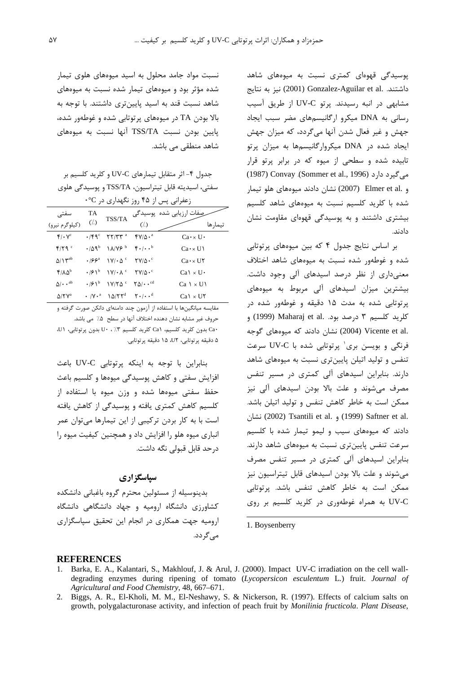یوسیدگی قهوهای کمتری نسبت به میوههای شاهد داشتند. .Gonzalez-Aguilar et al (2001) نيز به نتايج مشابهی در انبه رسیدند. پرتو UV-C از طریق آسیب رسانی به DNA میکرو ارگانیسمهای مضر سبب ایجاد جهش و غیر فعال شدن آنها می گردد، که میزان جهش ایجاد شده در DNA میکروارگانیسمها به میزان پرتو تابیده شده و سطحی از میوه که در برابر پرتو قرار می گیرد دارد (Sommer et al., 1996). (1987) و .Elmer et al (2007) نشان دادند میوههای هلو تیمار شده با کلرید کلسیم نسبت به میوههای شاهد کلسیم بیشتری داشتند و به یوسیدگی قهوهای مقاومت نشان دادند.

بر اساس نتایج جدول ۴ که بین میوههای پرتوتابی شده و غوطهور شده نسبت به میوههای شاهد اختلاف معنیداری از نظر درصد اسیدهای آلی وجود داشت. بیشترین میزان اسیدهای آلی مربوط به میوههای پرتوتایی شده به مدت ۱۵ دقیقه و غوطهور شده در کلريد کلسيم ۳ درصد بود. .Maharaj et al (1999) و .Vicente et al (2004) نشان دادند که میوههای گوجه فرنگی و بویسن بری<sup>۱</sup> پرتوتابی شده با UV-C سرعت تنفس و تولید اتیلن پایینتری نسبت به میوههای شاهد دارند. بنابراین اسیدهای آلی کمتری در مسیر تنفس مصرف می شوند و علت بالا بودن اسیدهای آلی نیز ممکن است به خاطر کاهش تنفس و تولید اتیلن باشد. نشان (2002) Tsantili et al. و (1999) Saftner et al. دادند که میوههای سیب و لیمو تیمار شده با کلسیم سرعت تنفس پایینتری نسبت به میوههای شاهد دارند. بنابراین اسیدهای آلی کمتری در مسیر تنفس مصرف می شوند و علت بالا بودن اسیدهای قابل تیتراسیون نیز ممکن است به خاطر کاهش تنفس باشد. پرتوتابی UV-C به همراه غوطهوری در کلرید کلسیم بر روی

1. Boysenberry

نسبت مواد جامد محلول به اسید میوههای هلوی تیمار شده مؤثر بود و میوههای تیمار شده نسبت به میوههای شاهد نسبت قند به اسید پایینتری داشتند. با توجه به بالا بودن TA در میوههای پرتوتابی شده و غوطهور شده، یایین بودن نسبت TSS/TA آنها نسبت به میوههای شاهد منطقی می باشد.

جدول ۴- اثر متقابل تیمارهای UV-C و کلرید کلسیم بر سفتي، اسيديته قابل تيتراسيون، TSS/TA و پوسيدگي هلوي زعفرانی پس از ۴۵ روز نگهداری در C°۰

| سفتى                               | <b>TA</b><br>$\left(\frac{7}{2}\right)$ | TSS/TA                                                                                                 | صِفات ارزیابی شده پوسیدکی |                              |  |
|------------------------------------|-----------------------------------------|--------------------------------------------------------------------------------------------------------|---------------------------|------------------------------|--|
| (کیلوگرم نیرو)                     |                                         |                                                                                                        | (7)                       | تیمار ها                     |  |
| $f/\cdot V^c$                      |                                         | $\cdot$ /۴۹ $\text{°}$ $\cdot$ $\text{Y}$ /۳۳ $\text{°}$ $\text{°}$ $\text{Y}$ /۵ $\cdot$ <sup>a</sup> |                           | $Ca \cdot \times U \cdot$    |  |
| $f/Y$ q c                          |                                         | $\cdot$ /09 <sup>b</sup> $\Lambda$ /VF <sup>b</sup> f./ <sup>b</sup>                                   |                           | $Ca \cdot \times U$          |  |
| $\Delta/\Upsilon^{ab}$             |                                         |                                                                                                        |                           | $Ca \cdot \times U\tau$      |  |
| $f/\lambda \Delta^b$               |                                         |                                                                                                        |                           | $Ca\lambda \times U$         |  |
| $\Delta/\cdot \cdot$ <sup>ab</sup> |                                         | $\cdot$ / $51^{\circ}$ $1V/T\Delta$ $7\Delta$ / $\cdot$ $\cdot$ <sup>cd</sup>                          |                           | $Ca \lambda \times U\lambda$ |  |
| $\Delta$ /۲ $V^a$                  |                                         | $\cdot$ /Y $\cdot$ <sup>a</sup> $\sqrt{\Delta}$ /YY <sup>d</sup> Y $\cdot$ / $\cdot$ <sup>d</sup>      |                           | $Ca\lambda \times U\lambda$  |  |
|                                    |                                         |                                                                                                        |                           |                              |  |

مقایسه میانگینها با استفاده از آزمون چند دامنهای دانکن صورت گرفته و حروف غير مشابه نشان دهنده اختلاف آنها در سطح ٨٪ مي باشد. .Ca بدون كلريد كلسيم، Ca كلريد كلسيم ٣٪ ، •U بدون پرتوتابي، U1، ۵ دقیقه پرتوتابی، U۲، ۱۵ دقیقه پرتوتابی.

بنابراین با توجه به اینکه پرتوتابی UV-C باعث افزایش سفتی و کاهش پوسیدگی میوهها و کلسیم باعث حفظ سفتی میوهها شده و وزن میوه با استفاده از کلسیم کاهش کمتری یافته و پوسیدگی از کاهش یافته است با به کار بردن ترکیبی از این تیمارها میتوان عمر انباری میوه هلو را افزایش داد و همچنین کیفیت میوه را درحد قابل قبولي نگه داشت.

### سیاسگز اری

بدینوسیله از مسئولین محترم گروه باغبانی دانشکده کشاورزی دانشگاه ارومیه و جهاد دانشگاهی دانشگاه ارومیه جهت همکاری در انجام این تحقیق سیاسگزاری مے گر دد.

#### **REFERENCES**

- 1. Barka, E. A., Kalantari, S., Makhlouf, J. & Arul, J. (2000). Impact UV-C irradiation on the cell walldegrading enzymes during ripening of tomato (Lycopersicon esculentum L.) fruit. Journal of Agricultural and Food Chemistry, 48, 667-671.
- 2. Biggs, A. R., El-Kholi, M. M., El-Neshawy, S. & Nickerson, R. (1997). Effects of calcium salts on growth, polygalacturonase activity, and infection of peach fruit by *Monilinia fructicola. Plant Disease*,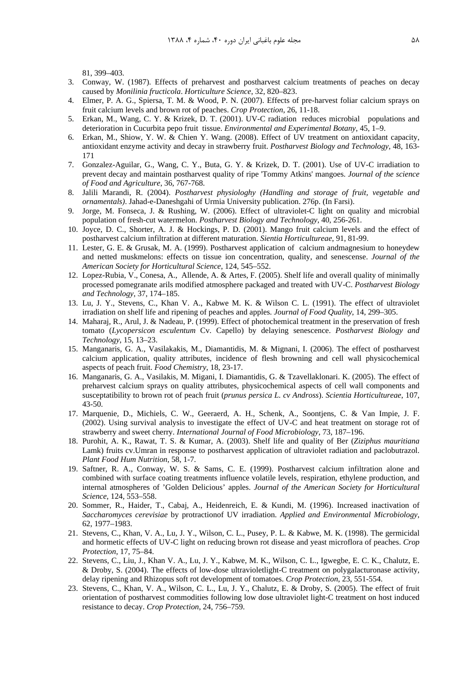81, 399–403.

- 3. Conway, W. (1987). Effects of preharvest and postharvest calcium treatments of peaches on decay caused by *Monilinia fructicola*. *Horticulture Science*, 32, 820–823.
- 4. Elmer, P. A. G., Spiersa, T. M. & Wood, P. N. (2007). Effects of pre-harvest foliar calcium sprays on fruit calcium levels and brown rot of peaches. *Crop Protection*, 26, 11-18.
- 5. Erkan, M., Wang, C. Y. & Krizek, D. T. (2001). UV-C radiation reduces microbial populations and deterioration in Cucurbita pepo fruit tissue. *Environmental and Experimental Botany*, 45, 1–9.
- 6. Erkan, M., Shiow, Y. W. & Chien Y. Wang. (2008). Effect of UV treatment on antioxidant capacity, antioxidant enzyme activity and decay in strawberry fruit. *Postharvest Biology and Technology*, 48, 163- 171
- 7. Gonzalez-Aguilar, G., Wang, C. Y., Buta, G. Y. & Krizek, D. T. (2001). Use of UV-C irradiation to prevent decay and maintain postharvest quality of ripe 'Tommy Atkins' mangoes. *Journal of the science of Food and Agriculture*, 36, 767-768.
- 8. Jalili Marandi, R. (2004). *Postharvest physiologhy (Handling and storage of fruit, vegetable and ornamentals)*. Jahad-e-Daneshgahi of Urmia University publication. 276p. (In Farsi).
- 9. Jorge, M. Fonseca, J. & Rushing, W. (2006). Effect of ultraviolet-C light on quality and microbial population of fresh-cut watermelon. *Postharvest Biology and Technology*, 40, 256-261.
- 10. Joyce, D. C., Shorter, A. J. & Hockings, P. D. (2001). Mango fruit calcium levels and the effect of postharvest calcium infiltration at different maturation. *Sientia Horticultureae*, 91, 81-99.
- 11. Lester, G. E. & Grusak, M. A. (1999). Postharvest application of calcium andmagnesium to honeydew and netted muskmelons: effects on tissue ion concentration, quality, and senescense. *Journal of the American Society for Horticultural Science*, 124, 545–552.
- 12. Lopez-Rubia, V., Conesa, A., Allende, A. & Artes, F. (2005). Shelf life and overall quality of minimally processed pomegranate arils modified atmosphere packaged and treated with UV-C. *Postharvest Biology and Technology*, 37, 174–185.
- 13. Lu, J. Y., Stevens, C., Khan V. A., Kabwe M. K. & Wilson C. L. (1991). The effect of ultraviolet irradiation on shelf life and ripening of peaches and apples. *Journal of Food Quality*, 14, 299–305.
- 14. Maharaj, R., Arul, J. & Nadeau, P. (1999). Effect of photochemical treatment in the preservation of fresh tomato (*Lycopersicon esculentum* Cv. Capello) by delaying senescence. *Postharvest Biology and Technology*, 15, 13–23.
- 15. Manganaris, G. A., Vasilakakis, M., Diamantidis, M. & Mignani, I. (2006). The effect of postharvest calcium application, quality attributes, incidence of flesh browning and cell wall physicochemical aspects of peach fruit. *Food Chemistry*, 18, 23-17.
- 16. Manganaris, G. A., Vasilakis, M. Migani, I. Diamantidis, G. & Tzavellaklonari. K. (2005). The effect of preharvest calcium sprays on quality attributes, physicochemical aspects of cell wall components and susceptatibility to brown rot of peach fruit (*prunus persica L. cv Andross*). *Scientia Horticultureae*, 107, 43-50.
- 17. Marquenie, D., Michiels, C. W., Geeraerd, A. H., Schenk, A., Soontjens, C. & Van Impie, J. F. (2002). Using survival analysis to investigate the effect of UV-C and heat treatment on storage rot of strawberry and sweet cherry. *International Journal of Food Microbiology*, 73, 187–196.
- 18. Purohit, A. K., Rawat, T. S. & Kumar, A. (2003). Shelf life and quality of Ber (*Ziziphus mauritiana*  Lamk) fruits cv.Umran in response to postharvest application of ultraviolet radiation and paclobutrazol. *Plant Food Hum Nutrition*, 58, 1-7.
- 19. Saftner, R. A., Conway, W. S. & Sams, C. E. (1999). Postharvest calcium infiltration alone and combined with surface coating treatments influence volatile levels, respiration, ethylene production, and internal atmospheres of 'Golden Delicious' apples. *Journal of the American Society for Horticultural Science*, 124, 553–558.
- 20. Sommer, R., Haider, T., Cabaj, A., Heidenreich, E. & Kundi, M. (1996). Increased inactivation of *Saccharomyces cerevisiae* by protractionof UV irradiation. *Applied and Environmental Microbiology*, 62, 1977–1983.
- 21. Stevens, C., Khan, V. A., Lu, J. Y., Wilson, C. L., Pusey, P. L. & Kabwe, M. K. (1998). The germicidal and hormetic effects of UV-C light on reducing brown rot disease and yeast microflora of peaches. *Crop Protection*, 17, 75–84.
- 22. Stevens, C., Liu, J., Khan V. A., Lu, J. Y., Kabwe, M. K., Wilson, C. L., Igwegbe, E. C. K., Chalutz, E. & Droby, S. (2004). The effects of low-dose ultravioletlight-C treatment on polygalacturonase activity, delay ripening and Rhizopus soft rot development of tomatoes. *Crop Protection*, 23, 551-554.
- 23. Stevens, C., Khan, V. A., Wilson, C. L., Lu, J. Y., Chalutz, E. & Droby, S. (2005). The effect of fruit orientation of postharvest commodities following low dose ultraviolet light-C treatment on host induced resistance to decay. *Crop Protection*, 24, 756–759.